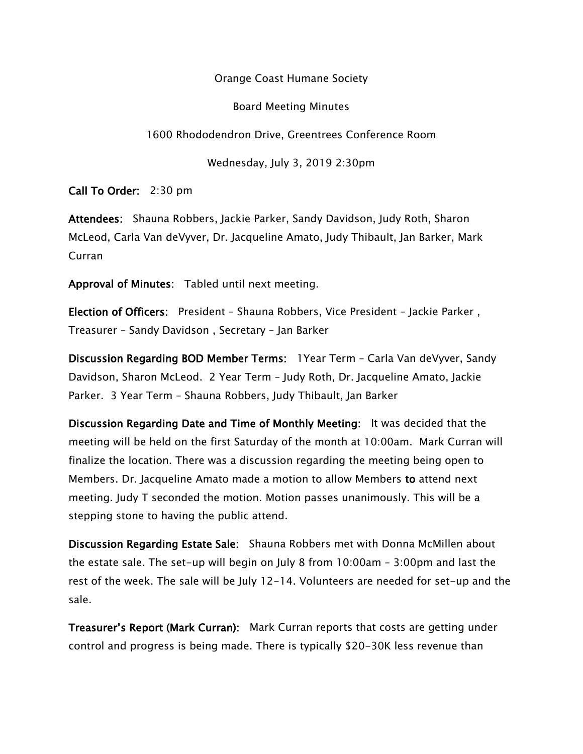Orange Coast Humane Society

Board Meeting Minutes

1600 Rhododendron Drive, Greentrees Conference Room

Wednesday, July 3, 2019 2:30pm

Call To Order: 2:30 pm

Attendees: Shauna Robbers, Jackie Parker, Sandy Davidson, Judy Roth, Sharon McLeod, Carla Van deVyver, Dr. Jacqueline Amato, Judy Thibault, Jan Barker, Mark Curran

Approval of Minutes: Tabled until next meeting.

Election of Officers: President – Shauna Robbers, Vice President – Jackie Parker , Treasurer – Sandy Davidson , Secretary – Jan Barker

Discussion Regarding BOD Member Terms: 1Year Term – Carla Van deVyver, Sandy Davidson, Sharon McLeod. 2 Year Term – Judy Roth, Dr. Jacqueline Amato, Jackie Parker. 3 Year Term – Shauna Robbers, Judy Thibault, Jan Barker

Discussion Regarding Date and Time of Monthly Meeting: It was decided that the meeting will be held on the first Saturday of the month at 10:00am. Mark Curran will finalize the location. There was a discussion regarding the meeting being open to Members. Dr. Jacqueline Amato made a motion to allow Members to attend next meeting. Judy T seconded the motion. Motion passes unanimously. This will be a stepping stone to having the public attend.

Discussion Regarding Estate Sale: Shauna Robbers met with Donna McMillen about the estate sale. The set-up will begin on July 8 from 10:00am – 3:00pm and last the rest of the week. The sale will be July 12-14. Volunteers are needed for set-up and the sale.

Treasurer's Report (Mark Curran): Mark Curran reports that costs are getting under control and progress is being made. There is typically \$20-30K less revenue than